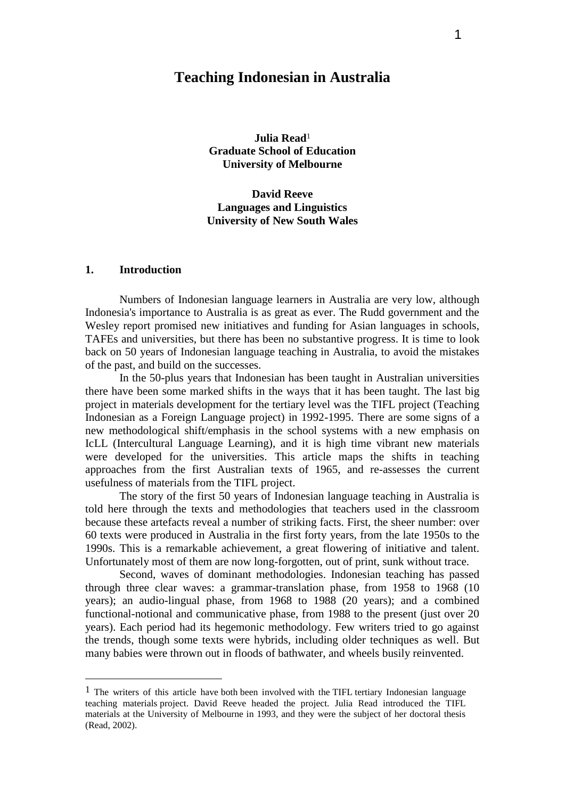# **Teaching Indonesian in Australia**

**Julia Read**<sup>1</sup> **Graduate School of Education University of Melbourne**

**David Reeve Languages and Linguistics University of New South Wales**

### **1. Introduction**

 $\overline{a}$ 

Numbers of Indonesian language learners in Australia are very low, although Indonesia's importance to Australia is as great as ever. The Rudd government and the Wesley report promised new initiatives and funding for Asian languages in schools, TAFEs and universities, but there has been no substantive progress. It is time to look back on 50 years of Indonesian language teaching in Australia, to avoid the mistakes of the past, and build on the successes.

In the 50-plus years that Indonesian has been taught in Australian universities there have been some marked shifts in the ways that it has been taught. The last big project in materials development for the tertiary level was the TIFL project (Teaching Indonesian as a Foreign Language project) in 1992-1995. There are some signs of a new methodological shift/emphasis in the school systems with a new emphasis on IcLL (Intercultural Language Learning), and it is high time vibrant new materials were developed for the universities. This article maps the shifts in teaching approaches from the first Australian texts of 1965, and re-assesses the current usefulness of materials from the TIFL project.

The story of the first 50 years of Indonesian language teaching in Australia is told here through the texts and methodologies that teachers used in the classroom because these artefacts reveal a number of striking facts. First, the sheer number: over 60 texts were produced in Australia in the first forty years, from the late 1950s to the 1990s. This is a remarkable achievement, a great flowering of initiative and talent. Unfortunately most of them are now long-forgotten, out of print, sunk without trace.

Second, waves of dominant methodologies. Indonesian teaching has passed through three clear waves: a grammar-translation phase, from 1958 to 1968 (10 years); an audio-lingual phase, from 1968 to 1988 (20 years); and a combined functional-notional and communicative phase, from 1988 to the present (just over 20 years). Each period had its hegemonic methodology. Few writers tried to go against the trends, though some texts were hybrids, including older techniques as well. But many babies were thrown out in floods of bathwater, and wheels busily reinvented.

<sup>&</sup>lt;sup>1</sup> The writers of this article have both been involved with the TIFL tertiary Indonesian language teaching materials project. David Reeve headed the project. Julia Read introduced the TIFL materials at the University of Melbourne in 1993, and they were the subject of her doctoral thesis (Read, 2002).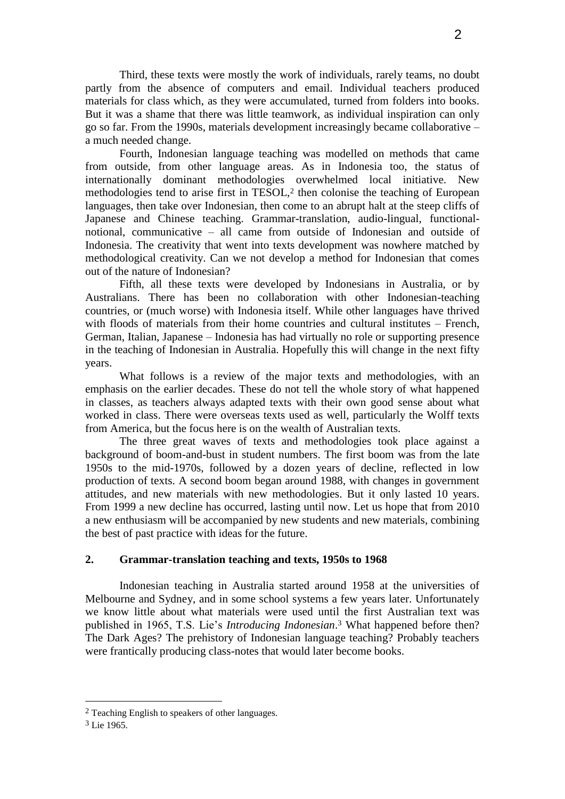Third, these texts were mostly the work of individuals, rarely teams, no doubt partly from the absence of computers and email. Individual teachers produced materials for class which, as they were accumulated, turned from folders into books. But it was a shame that there was little teamwork, as individual inspiration can only go so far. From the 1990s, materials development increasingly became collaborative – a much needed change.

Fourth, Indonesian language teaching was modelled on methods that came from outside, from other language areas. As in Indonesia too, the status of internationally dominant methodologies overwhelmed local initiative. New methodologies tend to arise first in TESOL,<sup>2</sup> then colonise the teaching of European languages, then take over Indonesian, then come to an abrupt halt at the steep cliffs of Japanese and Chinese teaching. Grammar-translation, audio-lingual, functionalnotional, communicative – all came from outside of Indonesian and outside of Indonesia. The creativity that went into texts development was nowhere matched by methodological creativity. Can we not develop a method for Indonesian that comes out of the nature of Indonesian?

Fifth, all these texts were developed by Indonesians in Australia, or by Australians. There has been no collaboration with other Indonesian-teaching countries, or (much worse) with Indonesia itself. While other languages have thrived with floods of materials from their home countries and cultural institutes – French, German, Italian, Japanese – Indonesia has had virtually no role or supporting presence in the teaching of Indonesian in Australia. Hopefully this will change in the next fifty years.

What follows is a review of the major texts and methodologies, with an emphasis on the earlier decades. These do not tell the whole story of what happened in classes, as teachers always adapted texts with their own good sense about what worked in class. There were overseas texts used as well, particularly the Wolff texts from America, but the focus here is on the wealth of Australian texts.

The three great waves of texts and methodologies took place against a background of boom-and-bust in student numbers. The first boom was from the late 1950s to the mid-1970s, followed by a dozen years of decline, reflected in low production of texts. A second boom began around 1988, with changes in government attitudes, and new materials with new methodologies. But it only lasted 10 years. From 1999 a new decline has occurred, lasting until now. Let us hope that from 2010 a new enthusiasm will be accompanied by new students and new materials, combining the best of past practice with ideas for the future.

### **2. Grammar-translation teaching and texts, 1950s to 1968**

Indonesian teaching in Australia started around 1958 at the universities of Melbourne and Sydney, and in some school systems a few years later. Unfortunately we know little about what materials were used until the first Australian text was published in 1965, T.S. Lie"s *Introducing Indonesian*. <sup>3</sup> What happened before then? The Dark Ages? The prehistory of Indonesian language teaching? Probably teachers were frantically producing class-notes that would later become books.

<sup>2</sup> Teaching English to speakers of other languages.

<sup>3</sup> Lie 1965.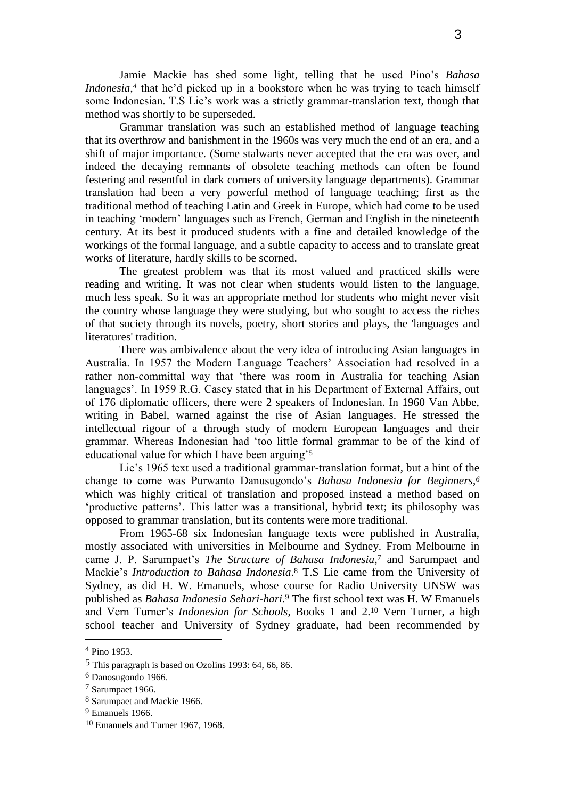Jamie Mackie has shed some light, telling that he used Pino"s *Bahasa Indonesia*,<sup>4</sup> that he'd picked up in a bookstore when he was trying to teach himself some Indonesian. T.S Lie's work was a strictly grammar-translation text, though that method was shortly to be superseded.

Grammar translation was such an established method of language teaching that its overthrow and banishment in the 1960s was very much the end of an era, and a shift of major importance. (Some stalwarts never accepted that the era was over, and indeed the decaying remnants of obsolete teaching methods can often be found festering and resentful in dark corners of university language departments). Grammar translation had been a very powerful method of language teaching; first as the traditional method of teaching Latin and Greek in Europe, which had come to be used in teaching "modern" languages such as French, German and English in the nineteenth century. At its best it produced students with a fine and detailed knowledge of the workings of the formal language, and a subtle capacity to access and to translate great works of literature, hardly skills to be scorned.

The greatest problem was that its most valued and practiced skills were reading and writing. It was not clear when students would listen to the language, much less speak. So it was an appropriate method for students who might never visit the country whose language they were studying, but who sought to access the riches of that society through its novels, poetry, short stories and plays, the 'languages and literatures' tradition.

There was ambivalence about the very idea of introducing Asian languages in Australia. In 1957 the Modern Language Teachers" Association had resolved in a rather non-committal way that "there was room in Australia for teaching Asian languages'. In 1959 R.G. Casey stated that in his Department of External Affairs, out of 176 diplomatic officers, there were 2 speakers of Indonesian. In 1960 Van Abbe, writing in Babel, warned against the rise of Asian languages. He stressed the intellectual rigour of a through study of modern European languages and their grammar. Whereas Indonesian had "too little formal grammar to be of the kind of educational value for which I have been arguing'<sup>5</sup>

Lie's 1965 text used a traditional grammar-translation format, but a hint of the change to come was Purwanto Danusugondo"s *Bahasa Indonesia for Beginners*, *6* which was highly critical of translation and proposed instead a method based on 'productive patterns'. This latter was a transitional, hybrid text; its philosophy was opposed to grammar translation, but its contents were more traditional.

From 1965-68 six Indonesian language texts were published in Australia, mostly associated with universities in Melbourne and Sydney. From Melbourne in came J. P. Sarumpaet's *The Structure of Bahasa Indonesia*,<sup>7</sup> and Sarumpaet and Mackie"s *Introduction to Bahasa Indonesia*. <sup>8</sup> T.S Lie came from the University of Sydney, as did H. W. Emanuels, whose course for Radio University UNSW was published as *Bahasa Indonesia Sehari-hari*. <sup>9</sup> The first school text was H. W Emanuels and Vern Turner"s *Indonesian for Schools*, Books 1 and 2.<sup>10</sup> Vern Turner, a high school teacher and University of Sydney graduate, had been recommended by

<sup>4</sup> Pino 1953.

<sup>5</sup> This paragraph is based on Ozolins 1993: 64, 66, 86.

<sup>6</sup> Danosugondo 1966.

<sup>7</sup> Sarumpaet 1966.

<sup>8</sup> Sarumpaet and Mackie 1966.

<sup>9</sup> Emanuels 1966.

<sup>10</sup> Emanuels and Turner 1967, 1968.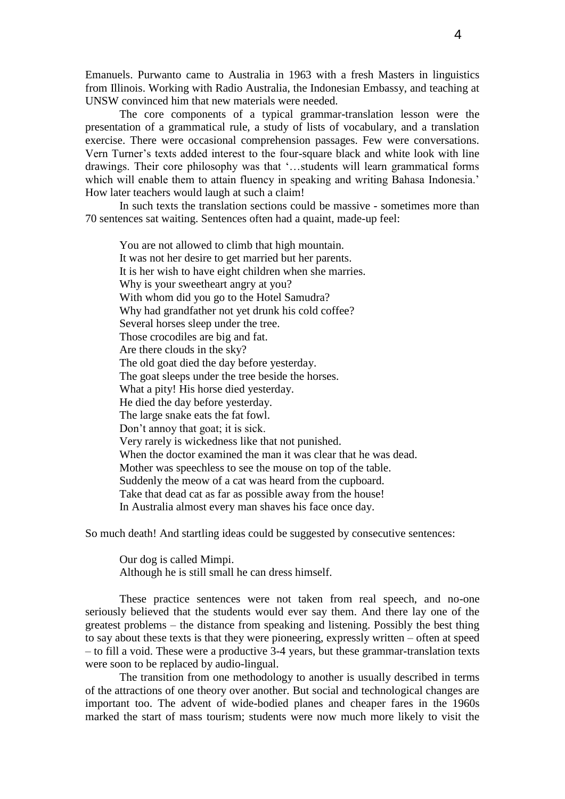Emanuels. Purwanto came to Australia in 1963 with a fresh Masters in linguistics from Illinois. Working with Radio Australia, the Indonesian Embassy, and teaching at UNSW convinced him that new materials were needed.

The core components of a typical grammar-translation lesson were the presentation of a grammatical rule, a study of lists of vocabulary, and a translation exercise. There were occasional comprehension passages. Few were conversations. Vern Turner"s texts added interest to the four-square black and white look with line drawings. Their core philosophy was that "…students will learn grammatical forms which will enable them to attain fluency in speaking and writing Bahasa Indonesia.' How later teachers would laugh at such a claim!

In such texts the translation sections could be massive - sometimes more than 70 sentences sat waiting. Sentences often had a quaint, made-up feel:

You are not allowed to climb that high mountain. It was not her desire to get married but her parents. It is her wish to have eight children when she marries. Why is your sweetheart angry at you? With whom did you go to the Hotel Samudra? Why had grandfather not yet drunk his cold coffee? Several horses sleep under the tree. Those crocodiles are big and fat. Are there clouds in the sky? The old goat died the day before yesterday. The goat sleeps under the tree beside the horses. What a pity! His horse died yesterday. He died the day before yesterday. The large snake eats the fat fowl. Don"t annoy that goat; it is sick. Very rarely is wickedness like that not punished. When the doctor examined the man it was clear that he was dead. Mother was speechless to see the mouse on top of the table. Suddenly the meow of a cat was heard from the cupboard. Take that dead cat as far as possible away from the house! In Australia almost every man shaves his face once day.

So much death! And startling ideas could be suggested by consecutive sentences:

Our dog is called Mimpi. Although he is still small he can dress himself.

These practice sentences were not taken from real speech, and no-one seriously believed that the students would ever say them. And there lay one of the greatest problems – the distance from speaking and listening. Possibly the best thing to say about these texts is that they were pioneering, expressly written – often at speed – to fill a void. These were a productive 3-4 years, but these grammar-translation texts were soon to be replaced by audio-lingual.

The transition from one methodology to another is usually described in terms of the attractions of one theory over another. But social and technological changes are important too. The advent of wide-bodied planes and cheaper fares in the 1960s marked the start of mass tourism; students were now much more likely to visit the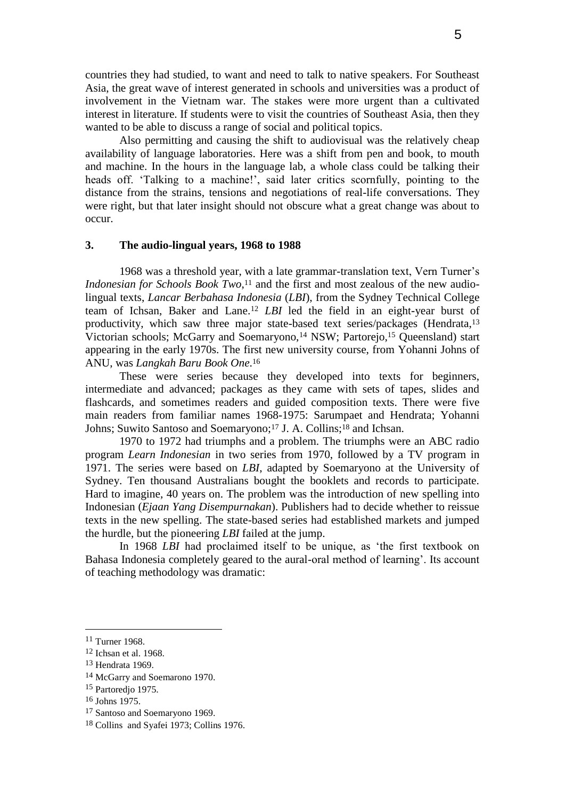countries they had studied, to want and need to talk to native speakers. For Southeast Asia, the great wave of interest generated in schools and universities was a product of involvement in the Vietnam war. The stakes were more urgent than a cultivated interest in literature. If students were to visit the countries of Southeast Asia, then they wanted to be able to discuss a range of social and political topics.

Also permitting and causing the shift to audiovisual was the relatively cheap availability of language laboratories. Here was a shift from pen and book, to mouth and machine. In the hours in the language lab, a whole class could be talking their heads off. 'Talking to a machine!', said later critics scornfully, pointing to the distance from the strains, tensions and negotiations of real-life conversations. They were right, but that later insight should not obscure what a great change was about to occur.

### **3. The audio-lingual years, 1968 to 1988**

1968 was a threshold year, with a late grammar-translation text, Vern Turner"s *Indonesian for Schools Book Two*, <sup>11</sup> and the first and most zealous of the new audiolingual texts, *Lancar Berbahasa Indonesia* (*LBI*), from the Sydney Technical College team of Ichsan, Baker and Lane.<sup>12</sup> *LBI* led the field in an eight-year burst of productivity, which saw three major state-based text series/packages (Hendrata,<sup>13</sup> Victorian schools; McGarry and Soemaryono,<sup>14</sup> NSW; Partorejo,<sup>15</sup> Queensland) start appearing in the early 1970s. The first new university course, from Yohanni Johns of ANU, was *Langkah Baru Book One*. 16

These were series because they developed into texts for beginners, intermediate and advanced; packages as they came with sets of tapes, slides and flashcards, and sometimes readers and guided composition texts. There were five main readers from familiar names 1968-1975: Sarumpaet and Hendrata; Yohanni Johns; Suwito Santoso and Soemaryono;<sup>17</sup> J. A. Collins;<sup>18</sup> and Ichsan.

1970 to 1972 had triumphs and a problem. The triumphs were an ABC radio program *Learn Indonesian* in two series from 1970, followed by a TV program in 1971. The series were based on *LBI*, adapted by Soemaryono at the University of Sydney. Ten thousand Australians bought the booklets and records to participate. Hard to imagine, 40 years on. The problem was the introduction of new spelling into Indonesian (*Ejaan Yang Disempurnakan*). Publishers had to decide whether to reissue texts in the new spelling. The state-based series had established markets and jumped the hurdle, but the pioneering *LBI* failed at the jump.

In 1968 *LBI* had proclaimed itself to be unique, as "the first textbook on Bahasa Indonesia completely geared to the aural-oral method of learning". Its account of teaching methodology was dramatic:

<sup>11</sup> Turner 1968.

<sup>12</sup> Ichsan et al. 1968.

<sup>13</sup> Hendrata 1969.

<sup>14</sup> McGarry and Soemarono 1970.

<sup>15</sup> Partoredjo 1975.

<sup>16</sup> Johns 1975.

<sup>17</sup> Santoso and Soemaryono 1969.

<sup>18</sup> Collins and Syafei 1973; Collins 1976.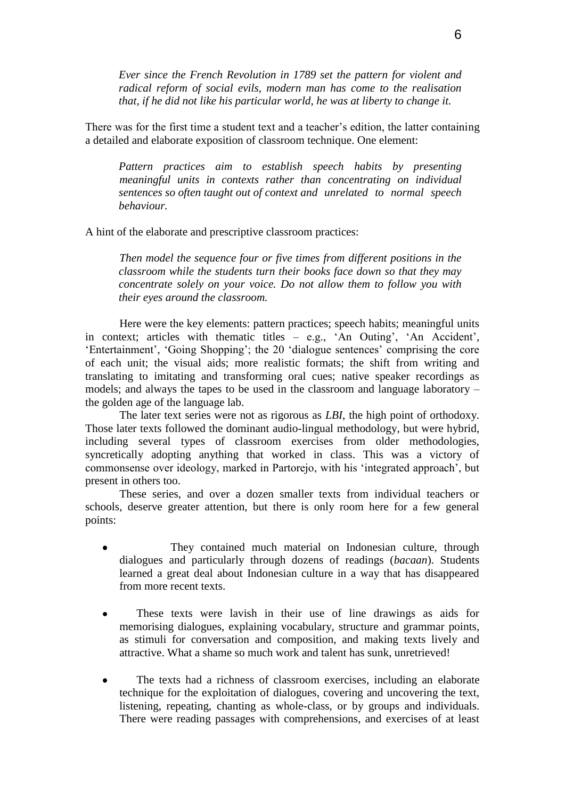*Ever since the French Revolution in 1789 set the pattern for violent and radical reform of social evils, modern man has come to the realisation that, if he did not like his particular world, he was at liberty to change it.*

There was for the first time a student text and a teacher"s edition, the latter containing a detailed and elaborate exposition of classroom technique. One element:

*Pattern practices aim to establish speech habits by presenting meaningful units in contexts rather than concentrating on individual sentences so often taught out of context and unrelated to normal speech behaviour.*

A hint of the elaborate and prescriptive classroom practices:

*Then model the sequence four or five times from different positions in the classroom while the students turn their books face down so that they may concentrate solely on your voice. Do not allow them to follow you with their eyes around the classroom.*

Here were the key elements: pattern practices; speech habits; meaningful units in context; articles with thematic titles  $-$  e.g., 'An Outing', 'An Accident', 'Entertainment', 'Going Shopping'; the 20 'dialogue sentences' comprising the core of each unit; the visual aids; more realistic formats; the shift from writing and translating to imitating and transforming oral cues; native speaker recordings as models; and always the tapes to be used in the classroom and language laboratory – the golden age of the language lab.

The later text series were not as rigorous as *LBI*, the high point of orthodoxy. Those later texts followed the dominant audio-lingual methodology, but were hybrid, including several types of classroom exercises from older methodologies, syncretically adopting anything that worked in class. This was a victory of commonsense over ideology, marked in Partorejo, with his "integrated approach", but present in others too.

These series, and over a dozen smaller texts from individual teachers or schools, deserve greater attention, but there is only room here for a few general points:

- They contained much material on Indonesian culture, through  $\bullet$ dialogues and particularly through dozens of readings (*bacaan*). Students learned a great deal about Indonesian culture in a way that has disappeared from more recent texts.
- These texts were lavish in their use of line drawings as aids for  $\bullet$ memorising dialogues, explaining vocabulary, structure and grammar points, as stimuli for conversation and composition, and making texts lively and attractive. What a shame so much work and talent has sunk, unretrieved!
- The texts had a richness of classroom exercises, including an elaborate technique for the exploitation of dialogues, covering and uncovering the text, listening, repeating, chanting as whole-class, or by groups and individuals. There were reading passages with comprehensions, and exercises of at least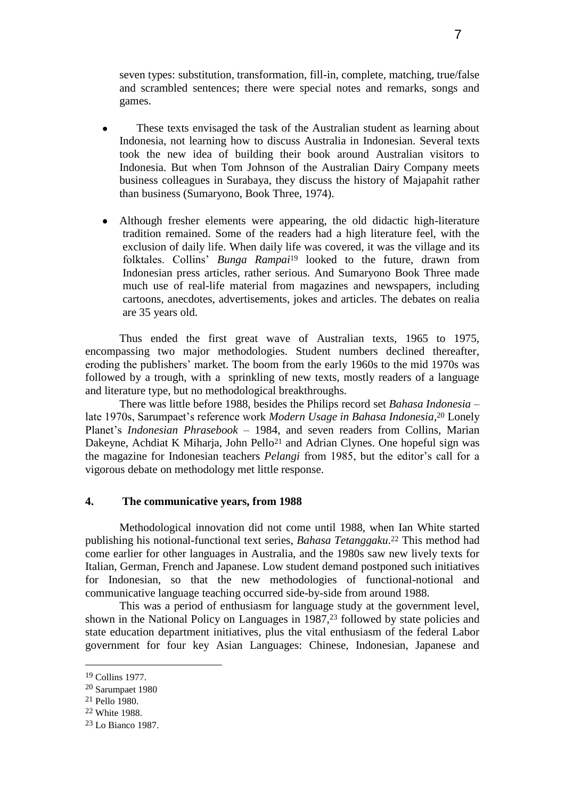seven types: substitution, transformation, fill-in, complete, matching, true/false and scrambled sentences; there were special notes and remarks, songs and games.

- These texts envisaged the task of the Australian student as learning about Indonesia, not learning how to discuss Australia in Indonesian. Several texts took the new idea of building their book around Australian visitors to Indonesia. But when Tom Johnson of the Australian Dairy Company meets business colleagues in Surabaya, they discuss the history of Majapahit rather than business (Sumaryono, Book Three, 1974).
- Although fresher elements were appearing, the old didactic high-literature tradition remained. Some of the readers had a high literature feel, with the exclusion of daily life. When daily life was covered, it was the village and its folktales. Collins" *Bunga Rampai*<sup>19</sup> looked to the future, drawn from Indonesian press articles, rather serious. And Sumaryono Book Three made much use of real-life material from magazines and newspapers, including cartoons, anecdotes, advertisements, jokes and articles. The debates on realia are 35 years old.

Thus ended the first great wave of Australian texts, 1965 to 1975, encompassing two major methodologies. Student numbers declined thereafter, eroding the publishers" market. The boom from the early 1960s to the mid 1970s was followed by a trough, with a sprinkling of new texts, mostly readers of a language and literature type, but no methodological breakthroughs.

There was little before 1988, besides the Philips record set *Bahasa Indonesia* – late 1970s, Sarumpaet's reference work Modern Usage in Bahasa Indonesia,<sup>20</sup> Lonely Planet"s *Indonesian Phrasebook* – 1984, and seven readers from Collins, Marian Dakeyne, Achdiat K Miharja, John Pello<sup>21</sup> and Adrian Clynes. One hopeful sign was the magazine for Indonesian teachers *Pelangi* from 1985, but the editor's call for a vigorous debate on methodology met little response.

### **4. The communicative years, from 1988**

Methodological innovation did not come until 1988, when Ian White started publishing his notional-functional text series, *Bahasa Tetanggaku*. <sup>22</sup> This method had come earlier for other languages in Australia, and the 1980s saw new lively texts for Italian, German, French and Japanese. Low student demand postponed such initiatives for Indonesian, so that the new methodologies of functional-notional and communicative language teaching occurred side-by-side from around 1988.

This was a period of enthusiasm for language study at the government level, shown in the National Policy on Languages in 1987,<sup>23</sup> followed by state policies and state education department initiatives, plus the vital enthusiasm of the federal Labor government for four key Asian Languages: Chinese, Indonesian, Japanese and

<sup>19</sup> Collins 1977.

<sup>20</sup> Sarumpaet 1980

<sup>21</sup> Pello 1980.

<sup>22</sup> White 1988.

<sup>23</sup> Lo Bianco 1987.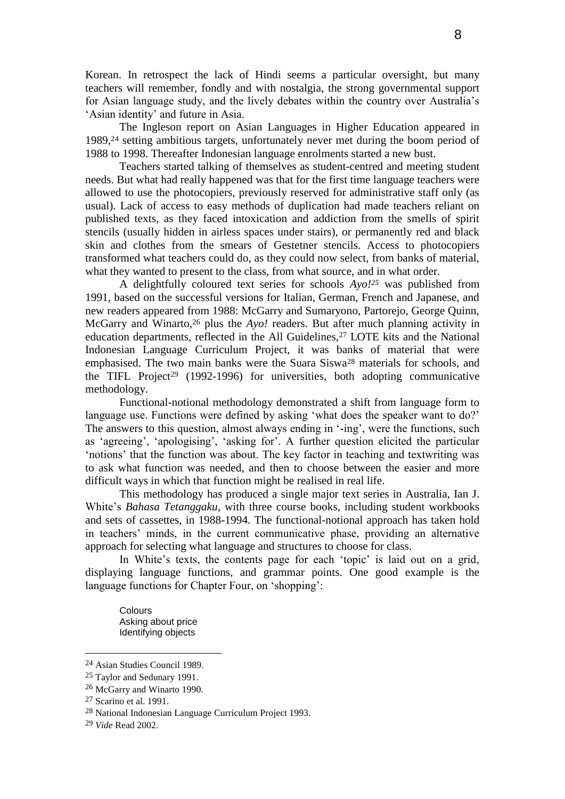Korean. In retrospect the lack of Hindi seems a particular oversight, but many teachers will remember, fondly and with nostalgia, the strong governmental support for Asian language study, and the lively debates within the country over Australia"s 'Asian identity' and future in Asia.

The Ingleson report on Asian Languages in Higher Education appeared in 1989,<sup>24</sup> setting ambitious targets, unfortunately never met during the boom period of 1988 to 1998. Thereafter Indonesian language enrolments started a new bust.

Teachers started talking of themselves as student-centred and meeting student needs. But what had really happened was that for the first time language teachers were allowed to use the photocopiers, previously reserved for administrative staff only (as usual). Lack of access to easy methods of duplication had made teachers reliant on published texts, as they faced intoxication and addiction from the smells of spirit stencils (usually hidden in airless spaces under stairs), or permanently red and black skin and clothes from the smears of Gestetner stencils. Access to photocopiers transformed what teachers could do, as they could now select, from banks of material, what they wanted to present to the class, from what source, and in what order.

A delightfully coloured text series for schools *Ayo!<sup>25</sup>* was published from 1991, based on the successful versions for Italian, German, French and Japanese, and new readers appeared from 1988: McGarry and Sumaryono, Partorejo, George Quinn, McGarry and Winarto,<sup>26</sup> plus the *Ayo!* readers. But after much planning activity in education departments, reflected in the All Guidelines,<sup>27</sup> LOTE kits and the National Indonesian Language Curriculum Project, it was banks of material that were emphasised. The two main banks were the Suara Siswa<sup>28</sup> materials for schools, and the TIFL Project<sup>29</sup> (1992-1996) for universities, both adopting communicative methodology.

Functional-notional methodology demonstrated a shift from language form to language use. Functions were defined by asking 'what does the speaker want to do?' The answers to this question, almost always ending in '-ing', were the functions, such as 'agreeing', 'apologising', 'asking for'. A further question elicited the particular "notions" that the function was about. The key factor in teaching and textwriting was to ask what function was needed, and then to choose between the easier and more difficult ways in which that function might be realised in real life.

This methodology has produced a single major text series in Australia, Ian J. White"s *Bahasa Tetanggaku*, with three course books, including student workbooks and sets of cassettes, in 1988-1994. The functional-notional approach has taken hold in teachers' minds, in the current communicative phase, providing an alternative approach for selecting what language and structures to choose for class.

In White's texts, the contents page for each 'topic' is laid out on a grid, displaying language functions, and grammar points. One good example is the language functions for Chapter Four, on 'shopping':

Colours Asking about price Identifying objects

<sup>24</sup> Asian Studies Council 1989.

<sup>25</sup> Taylor and Sedunary 1991.

<sup>26</sup> McGarry and Winarto 1990.

<sup>27</sup> Scarino et al. 1991.

<sup>28</sup> National Indonesian Language Curriculum Project 1993.

<sup>29</sup> *Vide* Read 2002.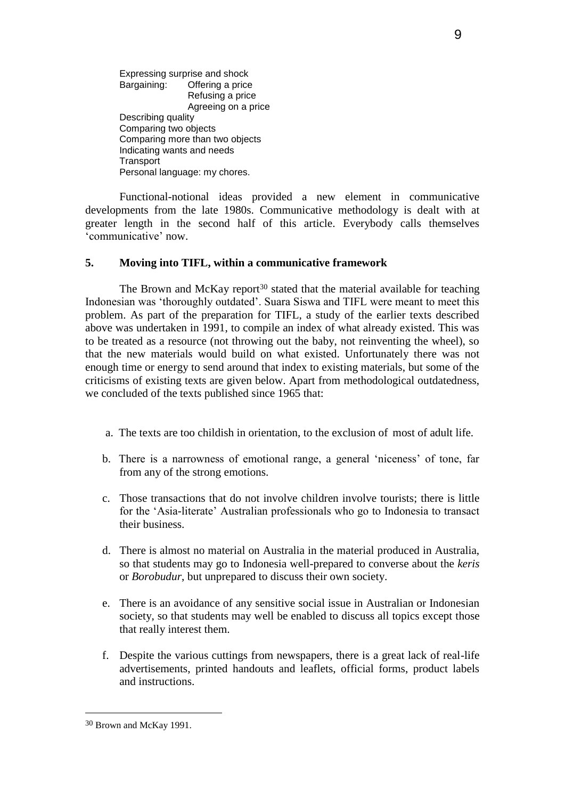Expressing surprise and shock Bargaining: Offering a price Refusing a price Agreeing on a price Describing quality Comparing two objects Comparing more than two objects Indicating wants and needs **Transport** Personal language: my chores.

Functional-notional ideas provided a new element in communicative developments from the late 1980s. Communicative methodology is dealt with at greater length in the second half of this article. Everybody calls themselves "communicative" now.

### **5. Moving into TIFL, within a communicative framework**

The Brown and McKay report<sup>30</sup> stated that the material available for teaching Indonesian was "thoroughly outdated". Suara Siswa and TIFL were meant to meet this problem. As part of the preparation for TIFL, a study of the earlier texts described above was undertaken in 1991, to compile an index of what already existed. This was to be treated as a resource (not throwing out the baby, not reinventing the wheel), so that the new materials would build on what existed. Unfortunately there was not enough time or energy to send around that index to existing materials, but some of the criticisms of existing texts are given below. Apart from methodological outdatedness, we concluded of the texts published since 1965 that:

- a. The texts are too childish in orientation, to the exclusion of most of adult life.
- b. There is a narrowness of emotional range, a general "niceness" of tone, far from any of the strong emotions.
- c. Those transactions that do not involve children involve tourists; there is little for the "Asia-literate" Australian professionals who go to Indonesia to transact their business.
- d. There is almost no material on Australia in the material produced in Australia, so that students may go to Indonesia well-prepared to converse about the *keris* or *Borobudur*, but unprepared to discuss their own society.
- e. There is an avoidance of any sensitive social issue in Australian or Indonesian society, so that students may well be enabled to discuss all topics except those that really interest them.
- f. Despite the various cuttings from newspapers, there is a great lack of real-life advertisements, printed handouts and leaflets, official forms, product labels and instructions.

<sup>30</sup> Brown and McKay 1991.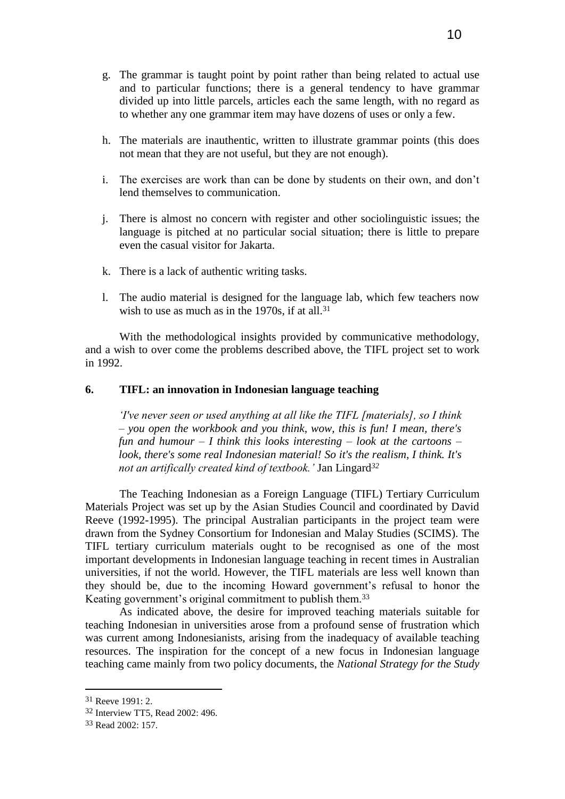- h. The materials are inauthentic, written to illustrate grammar points (this does not mean that they are not useful, but they are not enough).
- i. The exercises are work than can be done by students on their own, and don"t lend themselves to communication.
- j. There is almost no concern with register and other sociolinguistic issues; the language is pitched at no particular social situation; there is little to prepare even the casual visitor for Jakarta.
- k. There is a lack of authentic writing tasks.
- l. The audio material is designed for the language lab, which few teachers now wish to use as much as in the 1970s, if at all.<sup>31</sup>

With the methodological insights provided by communicative methodology, and a wish to over come the problems described above, the TIFL project set to work in 1992.

### **6. TIFL: an innovation in Indonesian language teaching**

*'I've never seen or used anything at all like the TIFL [materials], so I think – you open the workbook and you think, wow, this is fun! I mean, there's fun and humour – I think this looks interesting – look at the cartoons – look, there's some real Indonesian material! So it's the realism, I think. It's not an artifically created kind of textbook.'* Jan Lingard*<sup>32</sup>*

The Teaching Indonesian as a Foreign Language (TIFL) Tertiary Curriculum Materials Project was set up by the Asian Studies Council and coordinated by David Reeve (1992-1995). The principal Australian participants in the project team were drawn from the Sydney Consortium for Indonesian and Malay Studies (SCIMS). The TIFL tertiary curriculum materials ought to be recognised as one of the most important developments in Indonesian language teaching in recent times in Australian universities, if not the world. However, the TIFL materials are less well known than they should be, due to the incoming Howard government"s refusal to honor the Keating government's original commitment to publish them.<sup>33</sup>

As indicated above, the desire for improved teaching materials suitable for teaching Indonesian in universities arose from a profound sense of frustration which was current among Indonesianists, arising from the inadequacy of available teaching resources. The inspiration for the concept of a new focus in Indonesian language teaching came mainly from two policy documents, the *National Strategy for the Study* 

<sup>31</sup> Reeve 1991: 2.

<sup>32</sup> Interview TT5, Read 2002: 496.

<sup>33</sup> Read 2002: 157.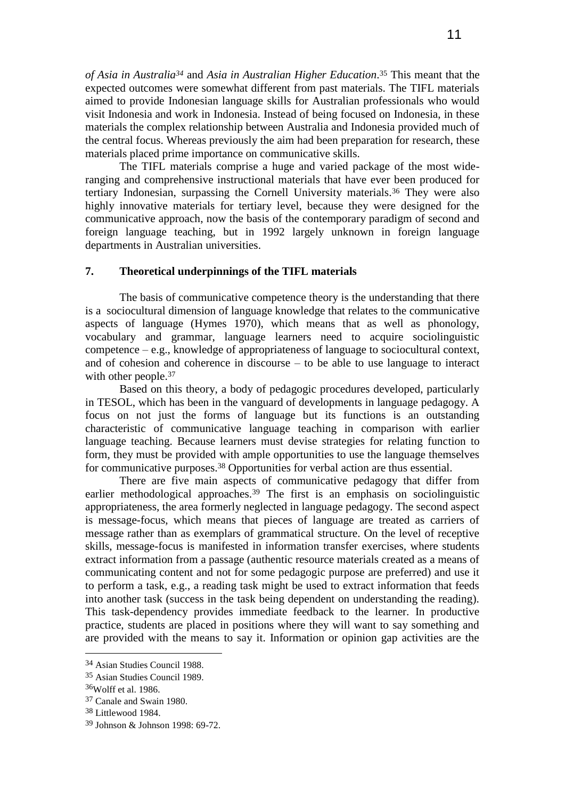*of Asia in Australia<sup>34</sup>* and *Asia in Australian Higher Education*. <sup>35</sup> This meant that the expected outcomes were somewhat different from past materials. The TIFL materials aimed to provide Indonesian language skills for Australian professionals who would visit Indonesia and work in Indonesia. Instead of being focused on Indonesia, in these materials the complex relationship between Australia and Indonesia provided much of the central focus. Whereas previously the aim had been preparation for research, these materials placed prime importance on communicative skills.

The TIFL materials comprise a huge and varied package of the most wideranging and comprehensive instructional materials that have ever been produced for tertiary Indonesian, surpassing the Cornell University materials.<sup>36</sup> They were also highly innovative materials for tertiary level, because they were designed for the communicative approach, now the basis of the contemporary paradigm of second and foreign language teaching, but in 1992 largely unknown in foreign language departments in Australian universities.

### **7. Theoretical underpinnings of the TIFL materials**

The basis of communicative competence theory is the understanding that there is a sociocultural dimension of language knowledge that relates to the communicative aspects of language (Hymes 1970), which means that as well as phonology, vocabulary and grammar, language learners need to acquire sociolinguistic competence – e.g., knowledge of appropriateness of language to sociocultural context, and of cohesion and coherence in discourse – to be able to use language to interact with other people.<sup>37</sup>

Based on this theory, a body of pedagogic procedures developed, particularly in TESOL, which has been in the vanguard of developments in language pedagogy. A focus on not just the forms of language but its functions is an outstanding characteristic of communicative language teaching in comparison with earlier language teaching. Because learners must devise strategies for relating function to form, they must be provided with ample opportunities to use the language themselves for communicative purposes.<sup>38</sup> Opportunities for verbal action are thus essential.

There are five main aspects of communicative pedagogy that differ from earlier methodological approaches.<sup>39</sup> The first is an emphasis on sociolinguistic appropriateness, the area formerly neglected in language pedagogy. The second aspect is message-focus, which means that pieces of language are treated as carriers of message rather than as exemplars of grammatical structure. On the level of receptive skills, message-focus is manifested in information transfer exercises, where students extract information from a passage (authentic resource materials created as a means of communicating content and not for some pedagogic purpose are preferred) and use it to perform a task, e.g., a reading task might be used to extract information that feeds into another task (success in the task being dependent on understanding the reading). This task-dependency provides immediate feedback to the learner. In productive practice, students are placed in positions where they will want to say something and are provided with the means to say it. Information or opinion gap activities are the

<sup>34</sup> Asian Studies Council 1988.

<sup>35</sup> Asian Studies Council 1989.

<sup>36</sup>Wolff et al. 1986.

<sup>37</sup> Canale and Swain 1980.

<sup>38</sup> Littlewood 1984.

<sup>39</sup> Johnson & Johnson 1998: 69-72.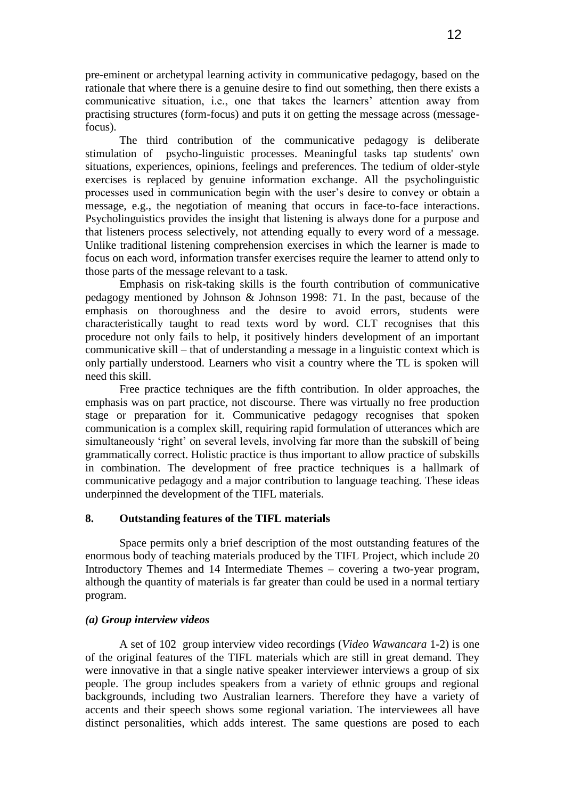pre-eminent or archetypal learning activity in communicative pedagogy, based on the rationale that where there is a genuine desire to find out something, then there exists a communicative situation, i.e., one that takes the learners' attention away from practising structures (form-focus) and puts it on getting the message across (messagefocus).

The third contribution of the communicative pedagogy is deliberate stimulation of psycho-linguistic processes. Meaningful tasks tap students' own situations, experiences, opinions, feelings and preferences. The tedium of older-style exercises is replaced by genuine information exchange. All the psycholinguistic processes used in communication begin with the user"s desire to convey or obtain a message, e.g., the negotiation of meaning that occurs in face-to-face interactions. Psycholinguistics provides the insight that listening is always done for a purpose and that listeners process selectively, not attending equally to every word of a message. Unlike traditional listening comprehension exercises in which the learner is made to focus on each word, information transfer exercises require the learner to attend only to those parts of the message relevant to a task.

Emphasis on risk-taking skills is the fourth contribution of communicative pedagogy mentioned by Johnson & Johnson 1998: 71. In the past, because of the emphasis on thoroughness and the desire to avoid errors, students were characteristically taught to read texts word by word. CLT recognises that this procedure not only fails to help, it positively hinders development of an important communicative skill – that of understanding a message in a linguistic context which is only partially understood. Learners who visit a country where the TL is spoken will need this skill.

Free practice techniques are the fifth contribution. In older approaches, the emphasis was on part practice, not discourse. There was virtually no free production stage or preparation for it. Communicative pedagogy recognises that spoken communication is a complex skill, requiring rapid formulation of utterances which are simultaneously 'right' on several levels, involving far more than the subskill of being grammatically correct. Holistic practice is thus important to allow practice of subskills in combination. The development of free practice techniques is a hallmark of communicative pedagogy and a major contribution to language teaching. These ideas underpinned the development of the TIFL materials.

### **8. Outstanding features of the TIFL materials**

Space permits only a brief description of the most outstanding features of the enormous body of teaching materials produced by the TIFL Project, which include 20 Introductory Themes and 14 Intermediate Themes – covering a two-year program, although the quantity of materials is far greater than could be used in a normal tertiary program.

### *(a) Group interview videos*

A set of 102 group interview video recordings (*Video Wawancara* 1-2) is one of the original features of the TIFL materials which are still in great demand. They were innovative in that a single native speaker interviewer interviews a group of six people. The group includes speakers from a variety of ethnic groups and regional backgrounds, including two Australian learners. Therefore they have a variety of accents and their speech shows some regional variation. The interviewees all have distinct personalities, which adds interest. The same questions are posed to each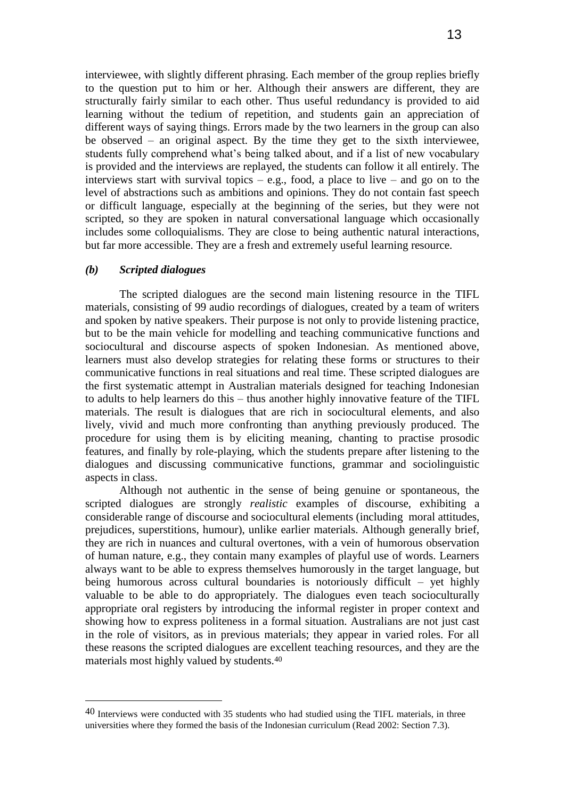interviewee, with slightly different phrasing. Each member of the group replies briefly to the question put to him or her. Although their answers are different, they are structurally fairly similar to each other. Thus useful redundancy is provided to aid learning without the tedium of repetition, and students gain an appreciation of different ways of saying things. Errors made by the two learners in the group can also be observed – an original aspect. By the time they get to the sixth interviewee, students fully comprehend what"s being talked about, and if a list of new vocabulary is provided and the interviews are replayed, the students can follow it all entirely. The interviews start with survival topics – e.g., food, a place to live – and go on to the level of abstractions such as ambitions and opinions. They do not contain fast speech or difficult language, especially at the beginning of the series, but they were not scripted, so they are spoken in natural conversational language which occasionally includes some colloquialisms. They are close to being authentic natural interactions, but far more accessible. They are a fresh and extremely useful learning resource.

### *(b) Scripted dialogues*

 $\overline{a}$ 

The scripted dialogues are the second main listening resource in the TIFL materials, consisting of 99 audio recordings of dialogues, created by a team of writers and spoken by native speakers. Their purpose is not only to provide listening practice, but to be the main vehicle for modelling and teaching communicative functions and sociocultural and discourse aspects of spoken Indonesian. As mentioned above, learners must also develop strategies for relating these forms or structures to their communicative functions in real situations and real time. These scripted dialogues are the first systematic attempt in Australian materials designed for teaching Indonesian to adults to help learners do this – thus another highly innovative feature of the TIFL materials. The result is dialogues that are rich in sociocultural elements, and also lively, vivid and much more confronting than anything previously produced. The procedure for using them is by eliciting meaning, chanting to practise prosodic features, and finally by role-playing, which the students prepare after listening to the dialogues and discussing communicative functions, grammar and sociolinguistic aspects in class.

Although not authentic in the sense of being genuine or spontaneous, the scripted dialogues are strongly *realistic* examples of discourse, exhibiting a considerable range of discourse and sociocultural elements (including moral attitudes, prejudices, superstitions, humour), unlike earlier materials. Although generally brief, they are rich in nuances and cultural overtones, with a vein of humorous observation of human nature, e.g., they contain many examples of playful use of words. Learners always want to be able to express themselves humorously in the target language, but being humorous across cultural boundaries is notoriously difficult – yet highly valuable to be able to do appropriately. The dialogues even teach socioculturally appropriate oral registers by introducing the informal register in proper context and showing how to express politeness in a formal situation. Australians are not just cast in the role of visitors, as in previous materials; they appear in varied roles. For all these reasons the scripted dialogues are excellent teaching resources, and they are the materials most highly valued by students.<sup>40</sup>

<sup>40</sup> Interviews were conducted with 35 students who had studied using the TIFL materials, in three universities where they formed the basis of the Indonesian curriculum (Read 2002: Section 7.3).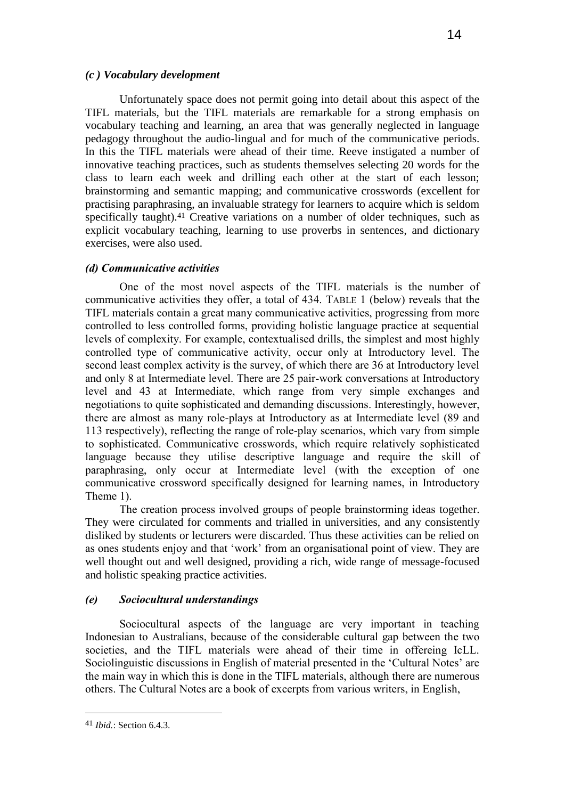### *(c ) Vocabulary development*

Unfortunately space does not permit going into detail about this aspect of the TIFL materials, but the TIFL materials are remarkable for a strong emphasis on vocabulary teaching and learning, an area that was generally neglected in language pedagogy throughout the audio-lingual and for much of the communicative periods. In this the TIFL materials were ahead of their time. Reeve instigated a number of innovative teaching practices, such as students themselves selecting 20 words for the class to learn each week and drilling each other at the start of each lesson; brainstorming and semantic mapping; and communicative crosswords (excellent for practising paraphrasing, an invaluable strategy for learners to acquire which is seldom specifically taught).<sup>41</sup> Creative variations on a number of older techniques, such as explicit vocabulary teaching, learning to use proverbs in sentences, and dictionary exercises, were also used.

### *(d) Communicative activities*

One of the most novel aspects of the TIFL materials is the number of communicative activities they offer, a total of 434. TABLE 1 (below) reveals that the TIFL materials contain a great many communicative activities, progressing from more controlled to less controlled forms, providing holistic language practice at sequential levels of complexity. For example, contextualised drills, the simplest and most highly controlled type of communicative activity, occur only at Introductory level. The second least complex activity is the survey, of which there are 36 at Introductory level and only 8 at Intermediate level. There are 25 pair-work conversations at Introductory level and 43 at Intermediate, which range from very simple exchanges and negotiations to quite sophisticated and demanding discussions. Interestingly, however, there are almost as many role-plays at Introductory as at Intermediate level (89 and 113 respectively), reflecting the range of role-play scenarios, which vary from simple to sophisticated. Communicative crosswords, which require relatively sophisticated language because they utilise descriptive language and require the skill of paraphrasing, only occur at Intermediate level (with the exception of one communicative crossword specifically designed for learning names, in Introductory Theme 1).

The creation process involved groups of people brainstorming ideas together. They were circulated for comments and trialled in universities, and any consistently disliked by students or lecturers were discarded. Thus these activities can be relied on as ones students enjoy and that "work" from an organisational point of view. They are well thought out and well designed, providing a rich, wide range of message-focused and holistic speaking practice activities.

### *(e) Sociocultural understandings*

Sociocultural aspects of the language are very important in teaching Indonesian to Australians, because of the considerable cultural gap between the two societies, and the TIFL materials were ahead of their time in offereing IcLL. Sociolinguistic discussions in English of material presented in the 'Cultural Notes' are the main way in which this is done in the TIFL materials, although there are numerous others. The Cultural Notes are a book of excerpts from various writers, in English,

<sup>41</sup> *Ibid.*: Section 6.4.3.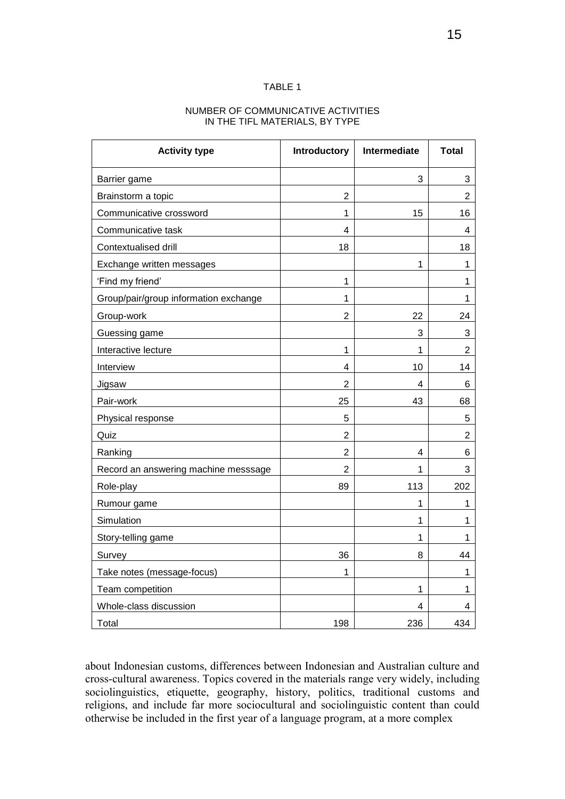#### TABLE 1

#### NUMBER OF COMMUNICATIVE ACTIVITIES IN THE TIFL MATERIALS, BY TYPE

| <b>Activity type</b>                  | Introductory   | Intermediate | <b>Total</b>   |
|---------------------------------------|----------------|--------------|----------------|
| Barrier game                          |                | 3            | 3              |
| Brainstorm a topic                    | $\overline{2}$ |              | $\overline{2}$ |
| Communicative crossword               | 1              | 15           | 16             |
| Communicative task                    | 4              |              | 4              |
| Contextualised drill                  | 18             |              | 18             |
| Exchange written messages             |                | 1            | 1              |
| 'Find my friend'                      | 1              |              | 1              |
| Group/pair/group information exchange | 1              |              | 1              |
| Group-work                            | 2              | 22           | 24             |
| Guessing game                         |                | 3            | 3              |
| Interactive lecture                   | 1              | 1            | 2              |
| Interview                             | 4              | 10           | 14             |
| Jigsaw                                | 2              | 4            | 6              |
| Pair-work                             | 25             | 43           | 68             |
| Physical response                     | 5              |              | 5              |
| Quiz                                  | 2              |              | 2              |
| Ranking                               | $\overline{2}$ | 4            | 6              |
| Record an answering machine messsage  | $\overline{2}$ | 1            | 3              |
| Role-play                             | 89             | 113          | 202            |
| Rumour game                           |                | 1            | 1              |
| Simulation                            |                | 1            | 1              |
| Story-telling game                    |                | 1            | 1              |
| Survey                                | 36             | 8            | 44             |
| Take notes (message-focus)            | 1              |              | 1              |
| Team competition                      |                | 1            | 1              |
| Whole-class discussion                |                | 4            | 4              |
| Total                                 | 198            | 236          | 434            |

about Indonesian customs, differences between Indonesian and Australian culture and cross-cultural awareness. Topics covered in the materials range very widely, including sociolinguistics, etiquette, geography, history, politics, traditional customs and religions, and include far more sociocultural and sociolinguistic content than could otherwise be included in the first year of a language program, at a more complex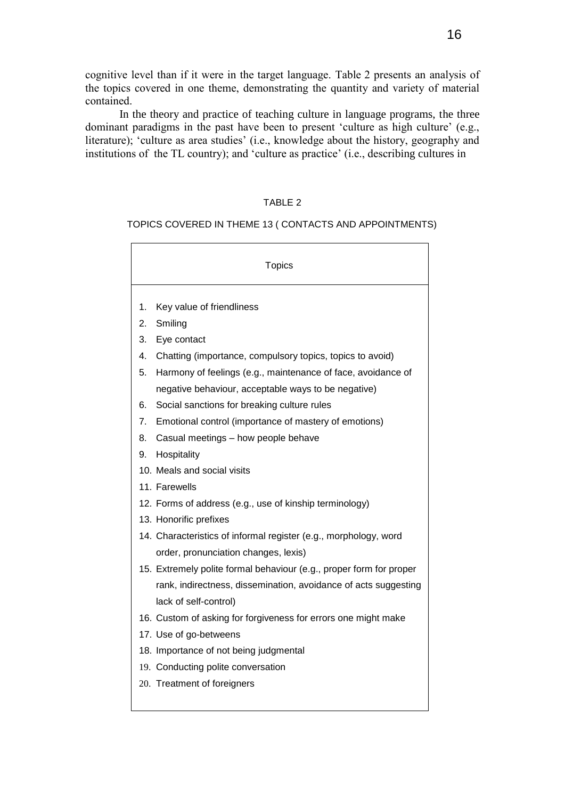cognitive level than if it were in the target language. Table 2 presents an analysis of the topics covered in one theme, demonstrating the quantity and variety of material contained.

In the theory and practice of teaching culture in language programs, the three dominant paradigms in the past have been to present 'culture as high culture' (e.g., literature); 'culture as area studies' (i.e., knowledge about the history, geography and institutions of the TL country); and 'culture as practice' (i.e., describing cultures in

## TABLE 2

## TOPICS COVERED IN THEME 13 ( CONTACTS AND APPOINTMENTS)

| <b>Topics</b> |                                                                     |  |  |
|---------------|---------------------------------------------------------------------|--|--|
| 1.            | Key value of friendliness                                           |  |  |
| 2.            | Smiling                                                             |  |  |
| 3.            | Eye contact                                                         |  |  |
| 4.            | Chatting (importance, compulsory topics, topics to avoid)           |  |  |
| 5.            | Harmony of feelings (e.g., maintenance of face, avoidance of        |  |  |
|               | negative behaviour, acceptable ways to be negative)                 |  |  |
| 6.            | Social sanctions for breaking culture rules                         |  |  |
| 7.            | Emotional control (importance of mastery of emotions)               |  |  |
| 8.            | Casual meetings - how people behave                                 |  |  |
| 9.            | Hospitality                                                         |  |  |
|               | 10. Meals and social visits                                         |  |  |
|               | 11. Farewells                                                       |  |  |
|               | 12. Forms of address (e.g., use of kinship terminology)             |  |  |
|               | 13. Honorific prefixes                                              |  |  |
|               | 14. Characteristics of informal register (e.g., morphology, word    |  |  |
|               | order, pronunciation changes, lexis)                                |  |  |
|               | 15. Extremely polite formal behaviour (e.g., proper form for proper |  |  |
|               | rank, indirectness, dissemination, avoidance of acts suggesting     |  |  |
|               | lack of self-control)                                               |  |  |
|               | 16. Custom of asking for forgiveness for errors one might make      |  |  |
|               | 17. Use of go-betweens                                              |  |  |
|               | 18. Importance of not being judgmental                              |  |  |
|               | 19. Conducting polite conversation                                  |  |  |
|               | 20. Treatment of foreigners                                         |  |  |

 $\overline{\phantom{a}}$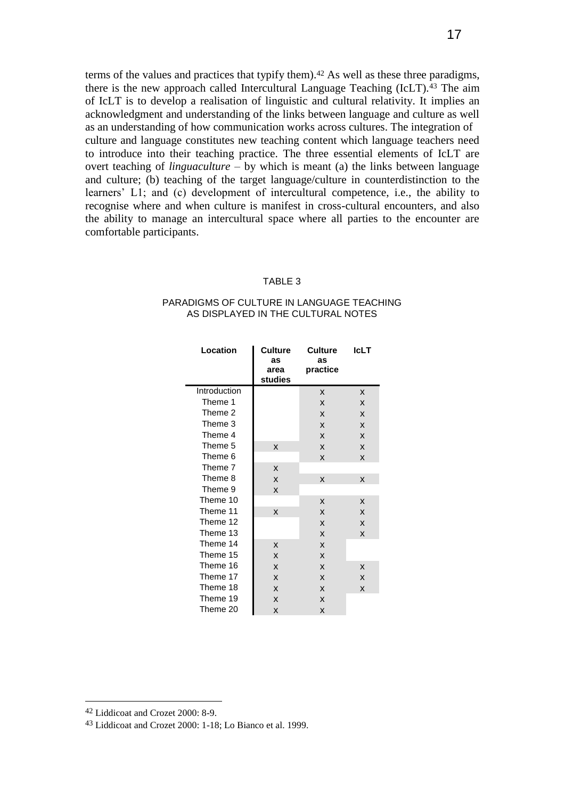terms of the values and practices that typify them).<sup>42</sup> As well as these three paradigms, there is the new approach called Intercultural Language Teaching (IcLT).<sup>43</sup> The aim of IcLT is to develop a realisation of linguistic and cultural relativity. It implies an acknowledgment and understanding of the links between language and culture as well as an understanding of how communication works across cultures. The integration of culture and language constitutes new teaching content which language teachers need to introduce into their teaching practice. The three essential elements of IcLT are overt teaching of *linguaculture* – by which is meant (a) the links between language and culture; (b) teaching of the target language/culture in counterdistinction to the learners" L1; and (c) development of intercultural competence, i.e., the ability to recognise where and when culture is manifest in cross-cultural encounters, and also the ability to manage an intercultural space where all parties to the encounter are comfortable participants.

#### TABLE 3

#### PARADIGMS OF CULTURE IN LANGUAGE TEACHING AS DISPLAYED IN THE CULTURAL NOTES

| Location     | <b>Culture</b><br>as<br>area<br>studies | <b>Culture</b><br>as<br>practice | <b>IcLT</b> |
|--------------|-----------------------------------------|----------------------------------|-------------|
| Introduction |                                         | X                                | X           |
| Theme 1      |                                         | X                                | X           |
| Theme 2      |                                         | X                                | X           |
| Theme 3      |                                         | X                                | X           |
| Theme 4      |                                         | X                                | X           |
| Theme 5      | X                                       | X                                | X           |
| Theme 6      |                                         | X                                | X           |
| Theme 7      | X                                       |                                  |             |
| Theme 8      | X                                       | X                                | X           |
| Theme 9      | X                                       |                                  |             |
| Theme 10     |                                         | X                                | X           |
| Theme 11     | X                                       | X                                | X           |
| Theme 12     |                                         | X                                | X           |
| Theme 13     |                                         | X                                | X           |
| Theme 14     | X                                       | X                                |             |
| Theme 15     | X                                       | X                                |             |
| Theme 16     | X                                       | X                                | X           |
| Theme 17     | X                                       | X                                | X           |
| Theme 18     | X                                       | X                                | X           |
| Theme 19     | X                                       | X                                |             |
| Theme 20     | X                                       | X                                |             |

<sup>42</sup> Liddicoat and Crozet 2000: 8-9.

<sup>43</sup> Liddicoat and Crozet 2000: 1-18; Lo Bianco et al. 1999.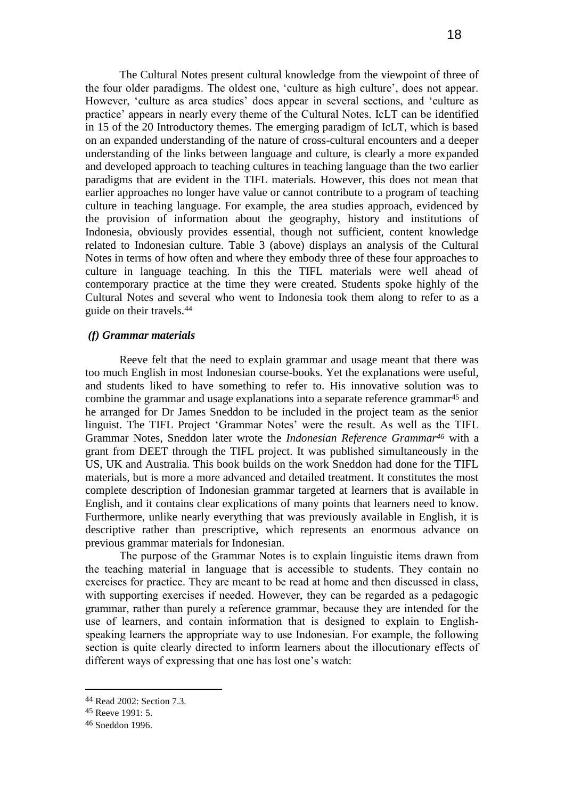The Cultural Notes present cultural knowledge from the viewpoint of three of the four older paradigms. The oldest one, "culture as high culture", does not appear. However, 'culture as area studies' does appear in several sections, and 'culture as practice" appears in nearly every theme of the Cultural Notes. IcLT can be identified in 15 of the 20 Introductory themes. The emerging paradigm of IcLT, which is based on an expanded understanding of the nature of cross-cultural encounters and a deeper understanding of the links between language and culture, is clearly a more expanded and developed approach to teaching cultures in teaching language than the two earlier paradigms that are evident in the TIFL materials. However, this does not mean that earlier approaches no longer have value or cannot contribute to a program of teaching culture in teaching language. For example, the area studies approach, evidenced by the provision of information about the geography, history and institutions of Indonesia, obviously provides essential, though not sufficient, content knowledge related to Indonesian culture. Table 3 (above) displays an analysis of the Cultural Notes in terms of how often and where they embody three of these four approaches to culture in language teaching. In this the TIFL materials were well ahead of contemporary practice at the time they were created. Students spoke highly of the Cultural Notes and several who went to Indonesia took them along to refer to as a guide on their travels.<sup>44</sup>

### *(f) Grammar materials*

Reeve felt that the need to explain grammar and usage meant that there was too much English in most Indonesian course-books. Yet the explanations were useful, and students liked to have something to refer to. His innovative solution was to combine the grammar and usage explanations into a separate reference grammar<sup>45</sup> and he arranged for Dr James Sneddon to be included in the project team as the senior linguist. The TIFL Project 'Grammar Notes' were the result. As well as the TIFL Grammar Notes, Sneddon later wrote the *Indonesian Reference Grammar<sup>46</sup>* with a grant from DEET through the TIFL project. It was published simultaneously in the US, UK and Australia. This book builds on the work Sneddon had done for the TIFL materials, but is more a more advanced and detailed treatment. It constitutes the most complete description of Indonesian grammar targeted at learners that is available in English, and it contains clear explications of many points that learners need to know. Furthermore, unlike nearly everything that was previously available in English, it is descriptive rather than prescriptive, which represents an enormous advance on previous grammar materials for Indonesian.

The purpose of the Grammar Notes is to explain linguistic items drawn from the teaching material in language that is accessible to students. They contain no exercises for practice. They are meant to be read at home and then discussed in class, with supporting exercises if needed. However, they can be regarded as a pedagogic grammar, rather than purely a reference grammar, because they are intended for the use of learners, and contain information that is designed to explain to Englishspeaking learners the appropriate way to use Indonesian. For example, the following section is quite clearly directed to inform learners about the illocutionary effects of different ways of expressing that one has lost one's watch:

<sup>44</sup> Read 2002: Section 7.3.

<sup>45</sup> Reeve 1991: 5.

<sup>46</sup> Sneddon 1996.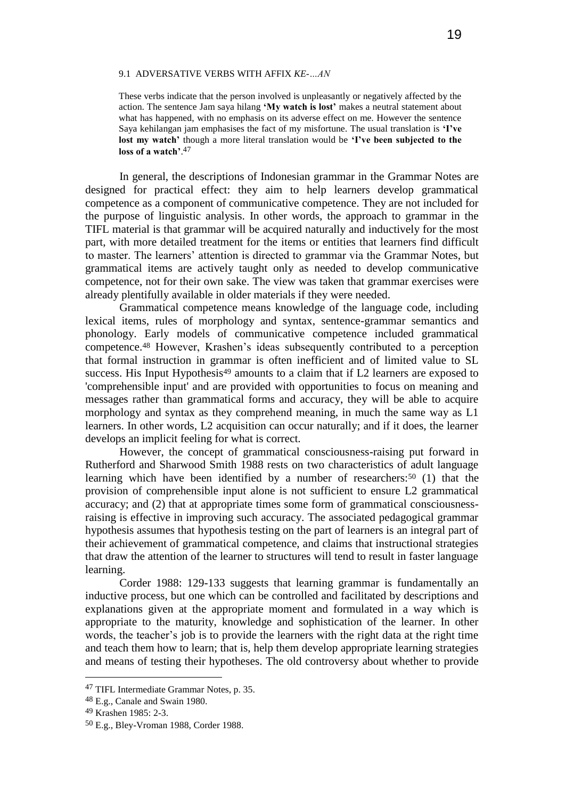#### 9.1 ADVERSATIVE VERBS WITH AFFIX *KE-…AN*

These verbs indicate that the person involved is unpleasantly or negatively affected by the action. The sentence Jam saya hilang **'My watch is lost'** makes a neutral statement about what has happened, with no emphasis on its adverse effect on me. However the sentence Saya kehilangan jam emphasises the fact of my misfortune. The usual translation is **'I've lost my watch'** though a more literal translation would be **'I've been subjected to the loss of a watch'**. 47

In general, the descriptions of Indonesian grammar in the Grammar Notes are designed for practical effect: they aim to help learners develop grammatical competence as a component of communicative competence. They are not included for the purpose of linguistic analysis. In other words, the approach to grammar in the TIFL material is that grammar will be acquired naturally and inductively for the most part, with more detailed treatment for the items or entities that learners find difficult to master. The learners" attention is directed to grammar via the Grammar Notes, but grammatical items are actively taught only as needed to develop communicative competence, not for their own sake. The view was taken that grammar exercises were already plentifully available in older materials if they were needed.

Grammatical competence means knowledge of the language code, including lexical items, rules of morphology and syntax, sentence-grammar semantics and phonology. Early models of communicative competence included grammatical competence.<sup>48</sup> However, Krashen"s ideas subsequently contributed to a perception that formal instruction in grammar is often inefficient and of limited value to SL success. His Input Hypothesis<sup>49</sup> amounts to a claim that if L2 learners are exposed to 'comprehensible input' and are provided with opportunities to focus on meaning and messages rather than grammatical forms and accuracy, they will be able to acquire morphology and syntax as they comprehend meaning, in much the same way as L1 learners. In other words, L2 acquisition can occur naturally; and if it does, the learner develops an implicit feeling for what is correct.

However, the concept of grammatical consciousness-raising put forward in Rutherford and Sharwood Smith 1988 rests on two characteristics of adult language learning which have been identified by a number of researchers:<sup>50</sup> (1) that the provision of comprehensible input alone is not sufficient to ensure L2 grammatical accuracy; and (2) that at appropriate times some form of grammatical consciousnessraising is effective in improving such accuracy. The associated pedagogical grammar hypothesis assumes that hypothesis testing on the part of learners is an integral part of their achievement of grammatical competence, and claims that instructional strategies that draw the attention of the learner to structures will tend to result in faster language learning.

Corder 1988: 129-133 suggests that learning grammar is fundamentally an inductive process, but one which can be controlled and facilitated by descriptions and explanations given at the appropriate moment and formulated in a way which is appropriate to the maturity, knowledge and sophistication of the learner. In other words, the teacher"s job is to provide the learners with the right data at the right time and teach them how to learn; that is, help them develop appropriate learning strategies and means of testing their hypotheses. The old controversy about whether to provide

<sup>47</sup> TIFL Intermediate Grammar Notes, p. 35.

<sup>48</sup> E.g., Canale and Swain 1980.

<sup>49</sup> Krashen 1985: 2-3.

<sup>50</sup> E.g., Bley-Vroman 1988, Corder 1988.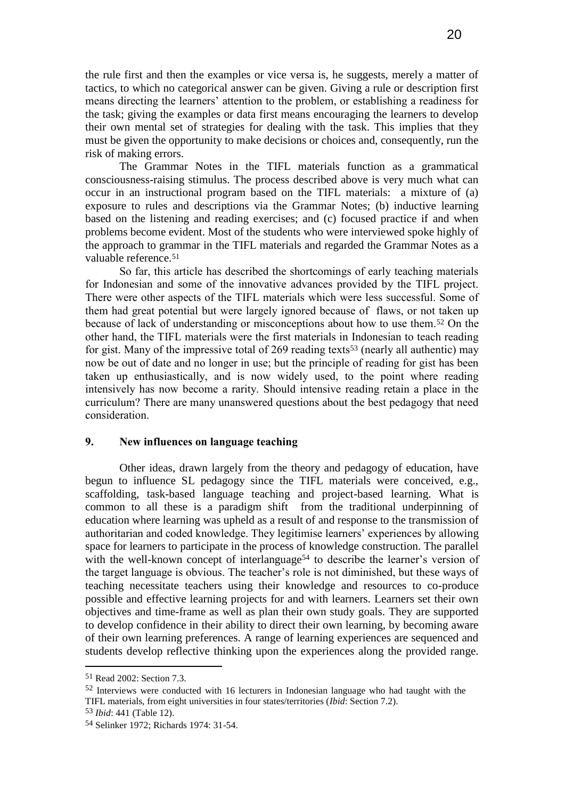the rule first and then the examples or vice versa is, he suggests, merely a matter of tactics, to which no categorical answer can be given. Giving a rule or description first means directing the learners" attention to the problem, or establishing a readiness for the task; giving the examples or data first means encouraging the learners to develop their own mental set of strategies for dealing with the task. This implies that they must be given the opportunity to make decisions or choices and, consequently, run the risk of making errors.

The Grammar Notes in the TIFL materials function as a grammatical consciousness-raising stimulus. The process described above is very much what can occur in an instructional program based on the TIFL materials: a mixture of (a) exposure to rules and descriptions via the Grammar Notes; (b) inductive learning based on the listening and reading exercises; and (c) focused practice if and when problems become evident. Most of the students who were interviewed spoke highly of the approach to grammar in the TIFL materials and regarded the Grammar Notes as a valuable reference.<sup>51</sup>

So far, this article has described the shortcomings of early teaching materials for Indonesian and some of the innovative advances provided by the TIFL project. There were other aspects of the TIFL materials which were less successful. Some of them had great potential but were largely ignored because of flaws, or not taken up because of lack of understanding or misconceptions about how to use them.<sup>52</sup> On the other hand, the TIFL materials were the first materials in Indonesian to teach reading for gist. Many of the impressive total of 269 reading texts<sup>53</sup> (nearly all authentic) may now be out of date and no longer in use; but the principle of reading for gist has been taken up enthusiastically, and is now widely used, to the point where reading intensively has now become a rarity. Should intensive reading retain a place in the curriculum? There are many unanswered questions about the best pedagogy that need consideration.

### **9. New influences on language teaching**

Other ideas, drawn largely from the theory and pedagogy of education, have begun to influence SL pedagogy since the TIFL materials were conceived, e.g., scaffolding, task-based language teaching and project-based learning. What is common to all these is a paradigm shift from the traditional underpinning of education where learning was upheld as a result of and response to the transmission of authoritarian and coded knowledge. They legitimise learners" experiences by allowing space for learners to participate in the process of knowledge construction. The parallel with the well-known concept of interlanguage<sup>54</sup> to describe the learner's version of the target language is obvious. The teacher"s role is not diminished, but these ways of teaching necessitate teachers using their knowledge and resources to co-produce possible and effective learning projects for and with learners. Learners set their own objectives and time-frame as well as plan their own study goals. They are supported to develop confidence in their ability to direct their own learning, by becoming aware of their own learning preferences. A range of learning experiences are sequenced and students develop reflective thinking upon the experiences along the provided range.

<sup>51</sup> Read 2002: Section 7.3.

<sup>52</sup> Interviews were conducted with 16 lecturers in Indonesian language who had taught with the TIFL materials, from eight universities in four states/territories (*Ibid*: Section 7.2).

<sup>53</sup> *Ibid*: 441 (Table 12).

<sup>54</sup> Selinker 1972; Richards 1974: 31-54.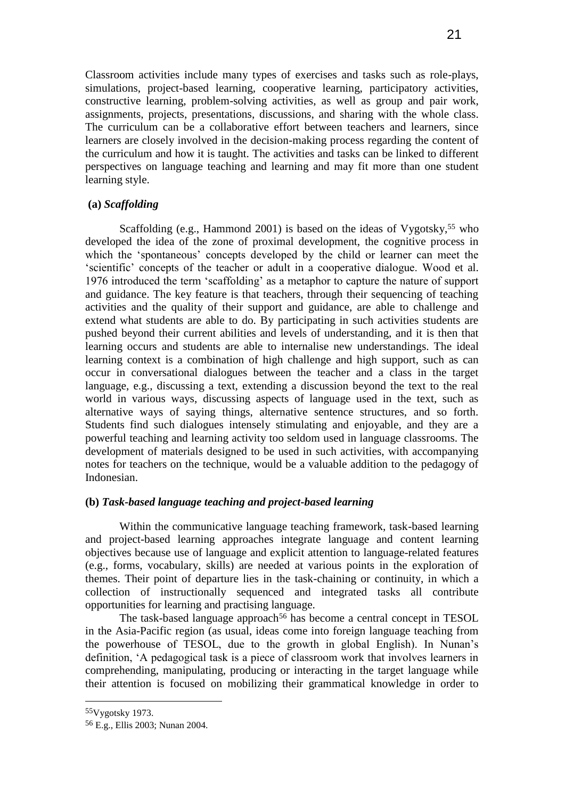Classroom activities include many types of exercises and tasks such as role-plays, simulations, project-based learning, cooperative learning, participatory activities, constructive learning, problem-solving activities, as well as group and pair work, assignments, projects, presentations, discussions, and sharing with the whole class. The curriculum can be a collaborative effort between teachers and learners, since learners are closely involved in the decision-making process regarding the content of the curriculum and how it is taught. The activities and tasks can be linked to different perspectives on language teaching and learning and may fit more than one student learning style.

### **(a)** *Scaffolding*

Scaffolding (e.g., Hammond 2001) is based on the ideas of Vygotsky,<sup>55</sup> who developed the idea of the zone of proximal development, the cognitive process in which the 'spontaneous' concepts developed by the child or learner can meet the "scientific" concepts of the teacher or adult in a cooperative dialogue. Wood et al. 1976 introduced the term "scaffolding" as a metaphor to capture the nature of support and guidance. The key feature is that teachers, through their sequencing of teaching activities and the quality of their support and guidance, are able to challenge and extend what students are able to do. By participating in such activities students are pushed beyond their current abilities and levels of understanding, and it is then that learning occurs and students are able to internalise new understandings. The ideal learning context is a combination of high challenge and high support, such as can occur in conversational dialogues between the teacher and a class in the target language, e.g., discussing a text, extending a discussion beyond the text to the real world in various ways, discussing aspects of language used in the text, such as alternative ways of saying things, alternative sentence structures, and so forth. Students find such dialogues intensely stimulating and enjoyable, and they are a powerful teaching and learning activity too seldom used in language classrooms. The development of materials designed to be used in such activities, with accompanying notes for teachers on the technique, would be a valuable addition to the pedagogy of Indonesian.

### **(b)** *Task-based language teaching and project-based learning*

Within the communicative language teaching framework, task-based learning and project-based learning approaches integrate language and content learning objectives because use of language and explicit attention to language-related features (e.g., forms, vocabulary, skills) are needed at various points in the exploration of themes. Their point of departure lies in the task-chaining or continuity, in which a collection of instructionally sequenced and integrated tasks all contribute opportunities for learning and practising language.

The task-based language approach<sup>56</sup> has become a central concept in TESOL in the Asia-Pacific region (as usual, ideas come into foreign language teaching from the powerhouse of TESOL, due to the growth in global English). In Nunan"s definition, "A pedagogical task is a piece of classroom work that involves learners in comprehending, manipulating, producing or interacting in the target language while their attention is focused on mobilizing their grammatical knowledge in order to

<sup>55</sup>Vygotsky 1973.

<sup>56</sup> E.g., Ellis 2003; Nunan 2004.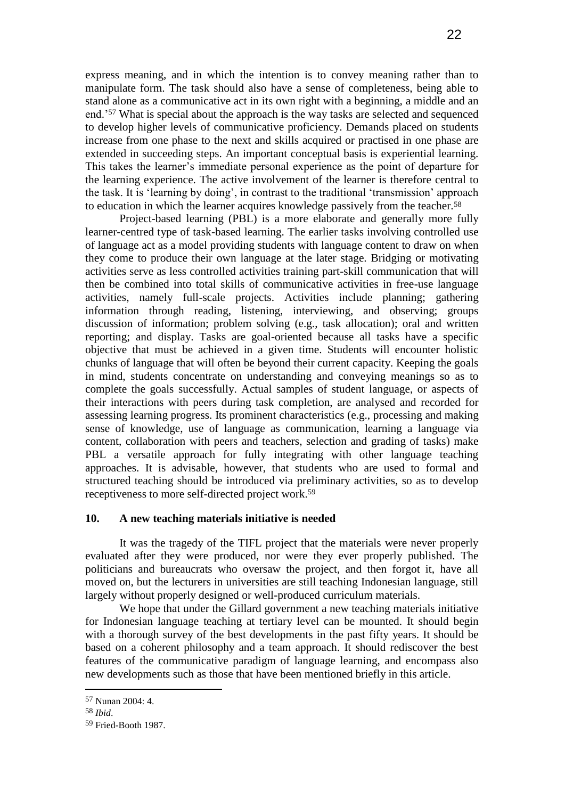express meaning, and in which the intention is to convey meaning rather than to manipulate form. The task should also have a sense of completeness, being able to stand alone as a communicative act in its own right with a beginning, a middle and an end."<sup>57</sup> What is special about the approach is the way tasks are selected and sequenced to develop higher levels of communicative proficiency. Demands placed on students increase from one phase to the next and skills acquired or practised in one phase are extended in succeeding steps. An important conceptual basis is experiential learning. This takes the learner"s immediate personal experience as the point of departure for the learning experience. The active involvement of the learner is therefore central to the task. It is "learning by doing", in contrast to the traditional "transmission" approach to education in which the learner acquires knowledge passively from the teacher.<sup>58</sup>

Project-based learning (PBL) is a more elaborate and generally more fully learner-centred type of task-based learning. The earlier tasks involving controlled use of language act as a model providing students with language content to draw on when they come to produce their own language at the later stage. Bridging or motivating activities serve as less controlled activities training part-skill communication that will then be combined into total skills of communicative activities in free-use language activities, namely full-scale projects. Activities include planning; gathering information through reading, listening, interviewing, and observing; groups discussion of information; problem solving (e.g., task allocation); oral and written reporting; and display. Tasks are goal-oriented because all tasks have a specific objective that must be achieved in a given time. Students will encounter holistic chunks of language that will often be beyond their current capacity. Keeping the goals in mind, students concentrate on understanding and conveying meanings so as to complete the goals successfully. Actual samples of student language, or aspects of their interactions with peers during task completion, are analysed and recorded for assessing learning progress. Its prominent characteristics (e.g., processing and making sense of knowledge, use of language as communication, learning a language via content, collaboration with peers and teachers, selection and grading of tasks) make PBL a versatile approach for fully integrating with other language teaching approaches. It is advisable, however, that students who are used to formal and structured teaching should be introduced via preliminary activities, so as to develop receptiveness to more self-directed project work.<sup>59</sup>

### **10. A new teaching materials initiative is needed**

It was the tragedy of the TIFL project that the materials were never properly evaluated after they were produced, nor were they ever properly published. The politicians and bureaucrats who oversaw the project, and then forgot it, have all moved on, but the lecturers in universities are still teaching Indonesian language, still largely without properly designed or well-produced curriculum materials.

We hope that under the Gillard government a new teaching materials initiative for Indonesian language teaching at tertiary level can be mounted. It should begin with a thorough survey of the best developments in the past fifty years. It should be based on a coherent philosophy and a team approach. It should rediscover the best features of the communicative paradigm of language learning, and encompass also new developments such as those that have been mentioned briefly in this article.

<sup>57</sup> Nunan 2004: 4.

<sup>58</sup> *Ibid*.

<sup>59</sup> Fried-Booth 1987.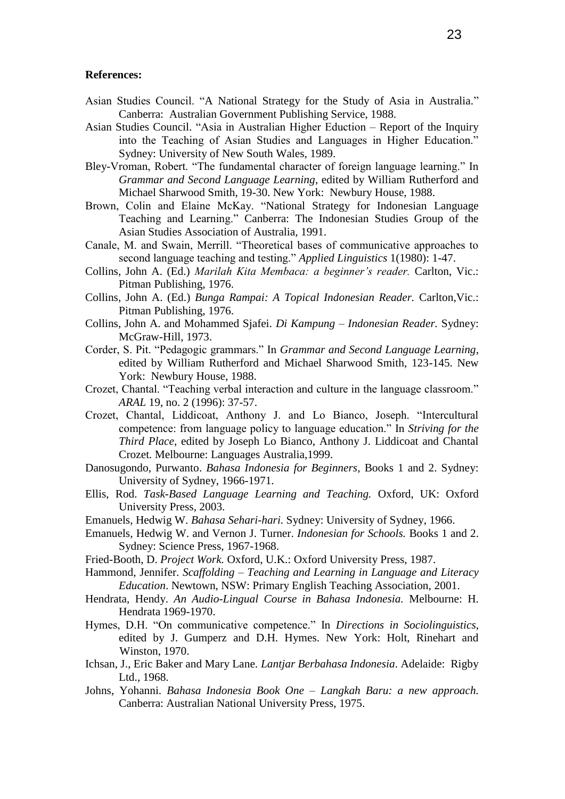#### **References:**

- Asian Studies Council. "A National Strategy for the Study of Asia in Australia*.*" Canberra: Australian Government Publishing Service, 1988.
- Asian Studies Council. "Asia in Australian Higher Eduction Report of the Inquiry into the Teaching of Asian Studies and Languages in Higher Education." Sydney: University of New South Wales, 1989.
- Bley-Vroman, Robert. "The fundamental character of foreign language learning." In *Grammar and Second Language Learning*, edited by William Rutherford and Michael Sharwood Smith, 19-30. New York: Newbury House, 1988.
- Brown, Colin and Elaine McKay. "National Strategy for Indonesian Language Teaching and Learning." Canberra: The Indonesian Studies Group of the Asian Studies Association of Australia, 1991.
- Canale, M. and Swain, Merrill. "Theoretical bases of communicative approaches to second language teaching and testing." *Applied Linguistics* 1(1980): 1-47.
- Collins, John A. (Ed.) *Marilah Kita Membaca: a beginner's reader.* Carlton, Vic.: Pitman Publishing, 1976.
- Collins, John A. (Ed.) *Bunga Rampai: A Topical Indonesian Reader.* Carlton,Vic.: Pitman Publishing, 1976.
- Collins, John A. and Mohammed Sjafei. *Di Kampung – Indonesian Reader.* Sydney: McGraw-Hill, 1973.
- Corder, S. Pit. "Pedagogic grammars." In *Grammar and Second Language Learning*, edited by William Rutherford and Michael Sharwood Smith, 123-145. New York: Newbury House, 1988.
- Crozet, Chantal. "Teaching verbal interaction and culture in the language classroom." *ARAL* 19, no. 2 (1996): 37-57.
- Crozet, Chantal, Liddicoat, Anthony J. and Lo Bianco, Joseph. "Intercultural competence: from language policy to language education." In *Striving for the Third Place*, edited by Joseph Lo Bianco, Anthony J. Liddicoat and Chantal Crozet*.* Melbourne: Languages Australia,1999.
- Danosugondo, Purwanto. *Bahasa Indonesia for Beginners,* Books 1 and 2. Sydney: University of Sydney, 1966-1971.
- Ellis, Rod. *Task-Based Language Learning and Teaching.* Oxford, UK: Oxford University Press, 2003.
- Emanuels, Hedwig W. *Bahasa Sehari-hari.* Sydney: University of Sydney, 1966.
- Emanuels, Hedwig W. and Vernon J. Turner. *Indonesian for Schools.* Books 1 and 2. Sydney: Science Press, 1967-1968.
- Fried-Booth, D. *Project Work.* Oxford, U.K.: Oxford University Press, 1987.
- Hammond, Jennifer. *Scaffolding – Teaching and Learning in Language and Literacy Education*. Newtown, NSW: Primary English Teaching Association, 2001.
- Hendrata, Hendy. *An Audio-Lingual Course in Bahasa Indonesia.* Melbourne: H. Hendrata 1969-1970.
- Hymes, D.H. "On communicative competence." In *Directions in Sociolinguistics*, edited by J. Gumperz and D.H. Hymes. New York: Holt, Rinehart and Winston, 1970.
- Ichsan, J., Eric Baker and Mary Lane. *Lantjar Berbahasa Indonesia*. Adelaide: Rigby Ltd., 1968.
- Johns, Yohanni. *Bahasa Indonesia Book One – Langkah Baru: a new approach.*  Canberra: Australian National University Press, 1975.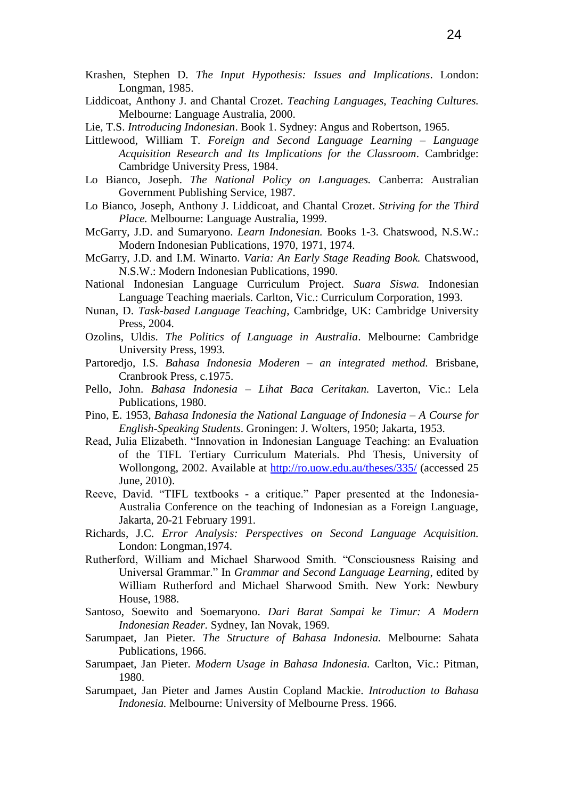- Krashen, Stephen D. *The Input Hypothesis: Issues and Implications*. London: Longman, 1985.
- Liddicoat, Anthony J. and Chantal Crozet. *Teaching Languages, Teaching Cultures.*  Melbourne: Language Australia, 2000.
- Lie, T.S. *Introducing Indonesian*. Book 1. Sydney: Angus and Robertson, 1965.
- Littlewood, William T. *Foreign and Second Language Learning – Language Acquisition Research and Its Implications for the Classroom*. Cambridge: Cambridge University Press, 1984.
- Lo Bianco, Joseph. *The National Policy on Languages.* Canberra: Australian Government Publishing Service, 1987.
- Lo Bianco, Joseph, Anthony J. Liddicoat, and Chantal Crozet. *Striving for the Third Place.* Melbourne: Language Australia, 1999.
- McGarry, J.D. and Sumaryono. *Learn Indonesian.* Books 1-3. Chatswood, N.S.W.: Modern Indonesian Publications, 1970, 1971, 1974.
- McGarry, J.D. and I.M. Winarto. *Varia: An Early Stage Reading Book.* Chatswood, N.S.W.: Modern Indonesian Publications, 1990.
- National Indonesian Language Curriculum Project. *Suara Siswa.* Indonesian Language Teaching maerials. Carlton, Vic.: Curriculum Corporation, 1993.
- Nunan, D. *Task-based Language Teaching*, Cambridge, UK: Cambridge University Press, 2004.
- Ozolins, Uldis. *The Politics of Language in Australia*. Melbourne: Cambridge University Press, 1993.
- Partoredjo, I.S. *Bahasa Indonesia Moderen – an integrated method.* Brisbane, Cranbrook Press, c.1975.
- Pello, John. *Bahasa Indonesia – Lihat Baca Ceritakan.* Laverton, Vic.: Lela Publications, 1980.
- Pino, E. 1953, *Bahasa Indonesia the National Language of Indonesia – A Course for English-Speaking Students*. Groningen: J. Wolters, 1950; Jakarta, 1953.
- Read, Julia Elizabeth. "Innovation in Indonesian Language Teaching: an Evaluation of the TIFL Tertiary Curriculum Materials. Phd Thesis, University of Wollongong, 2002. Available at <http://ro.uow.edu.au/theses/335/> (accessed 25 June, 2010).
- Reeve, David. "TIFL textbooks a critique." Paper presented at the Indonesia-Australia Conference on the teaching of Indonesian as a Foreign Language, Jakarta, 20-21 February 1991.
- Richards, J.C. *Error Analysis: Perspectives on Second Language Acquisition.* London: Longman,1974.
- Rutherford, William and Michael Sharwood Smith. "Consciousness Raising and Universal Grammar." In *Grammar and Second Language Learning*, edited by William Rutherford and Michael Sharwood Smith. New York: Newbury House, 1988.
- Santoso, Soewito and Soemaryono. *Dari Barat Sampai ke Timur: A Modern Indonesian Reader.* Sydney, Ian Novak, 1969.
- Sarumpaet, Jan Pieter. *The Structure of Bahasa Indonesia.* Melbourne: Sahata Publications, 1966.
- Sarumpaet, Jan Pieter. *Modern Usage in Bahasa Indonesia.* Carlton, Vic.: Pitman, 1980.
- Sarumpaet, Jan Pieter and James Austin Copland Mackie. *Introduction to Bahasa Indonesia.* Melbourne: University of Melbourne Press. 1966.